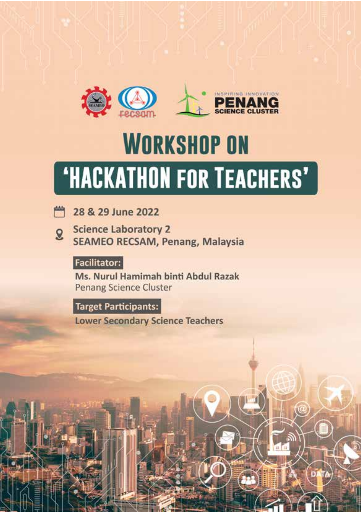

# **WORKSHOP ON 'HACKATHON FOR TEACHERS'**



**Science Laboratory 2**  $\mathbf{Q}$ **SEAMEO RECSAM, Penang, Malaysia** 

# **Facilitator:**

Ms. Nurul Hamimah binti Abdul Razak **Penang Science Cluster** 

**Target Participants:** 

**Lower Secondary Science Teachers**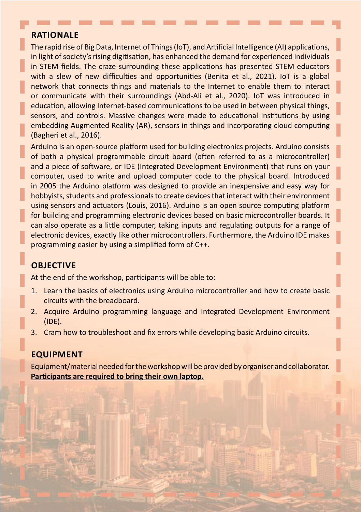#### **Rationale**

The rapid rise of Big Data, Internet of Things (IoT), and Artificial Intelligence (AI) applications, in light of society's rising digitisation, has enhanced the demand for experienced individuals in STEM fields. The craze surrounding these applications has presented STEM educators with a slew of new difficulties and opportunities (Benita et al., 2021). IoT is a global network that connects things and materials to the Internet to enable them to interact or communicate with their surroundings (Abd-Ali et al., 2020). IoT was introduced in education, allowing Internet-based communications to be used in between physical things, sensors, and controls. Massive changes were made to educational institutions by using embedding Augmented Reality (AR), sensors in things and incorporating cloud computing (Bagheri et al., 2016).

Arduino is an open-source platform used for building electronics projects. Arduino consists of both a physical programmable circuit board (often referred to as a microcontroller) and a piece of software, or IDE (Integrated Development Environment) that runs on your computer, used to write and upload computer code to the physical board. Introduced in 2005 the Arduino platform was designed to provide an inexpensive and easy way for hobbyists, students and professionals to create devices that interact with their environment using sensors and actuators (Louis, 2016). Arduino is an open source computing platform for building and programming electronic devices based on basic microcontroller boards. It can also operate as a little computer, taking inputs and regulating outputs for a range of electronic devices, exactly like other microcontrollers. Furthermore, the Arduino IDE makes programming easier by using a simplified form of C++.

### **Objective**

At the end of the workshop, participants will be able to:

- 1. Learn the basics of electronics using Arduino microcontroller and how to create basic circuits with the breadboard.
- 2. Acquire Arduino programming language and Integrated Development Environment (IDE).
- 3. Cram how to troubleshoot and fix errors while developing basic Arduino circuits.

#### **Equipment**

Equipment/material needed for the workshop will be provided by organiser and collaborator. **Participants are required to bring their own laptop.**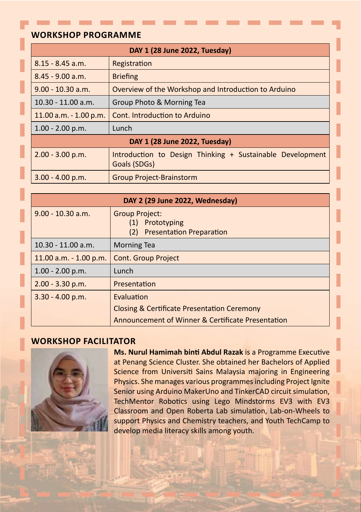#### **Workshop Programme**

| DAY 1 (28 June 2022, Tuesday) |                                                                           |
|-------------------------------|---------------------------------------------------------------------------|
| $8.15 - 8.45$ a.m.            | Registration                                                              |
| $8.45 - 9.00$ a.m.            | <b>Briefing</b>                                                           |
| $9.00 - 10.30$ a.m.           | Overview of the Workshop and Introduction to Arduino                      |
| $10.30 - 11.00$ a.m.          | Group Photo & Morning Tea                                                 |
| $11.00$ a.m. $-1.00$ p.m.     | Cont. Introduction to Arduino                                             |
| $1.00 - 2.00$ p.m.            | Lunch                                                                     |
| DAY 1 (28 June 2022, Tuesday) |                                                                           |
| $2.00 - 3.00$ p.m.            | Introduction to Design Thinking + Sustainable Development<br>Goals (SDGs) |
| $3.00 - 4.00$ p.m.            | <b>Group Project-Brainstorm</b>                                           |

| DAY 2 (29 June 2022, Wednesday) |                                                                      |
|---------------------------------|----------------------------------------------------------------------|
| $9.00 - 10.30$ a.m.             | <b>Group Project:</b><br>Prototyping<br>(2) Presentation Preparation |
| $10.30 - 11.00$ a.m.            | <b>Morning Tea</b>                                                   |
| $11.00$ a.m. $-1.00$ p.m.       | Cont. Group Project                                                  |
| $1.00 - 2.00$ p.m.              | Lunch                                                                |
| $2.00 - 3.30$ p.m.              | Presentation                                                         |
| $3.30 - 4.00$ p.m.              | Evaluation                                                           |
|                                 | <b>Closing &amp; Certificate Presentation Ceremony</b>               |
|                                 | Announcement of Winner & Certificate Presentation                    |

#### **Workshop Facilitator**



**Ms. Nurul Hamimah binti Abdul Razak** is a Programme Executive at Penang Science Cluster. She obtained her Bachelors of Applied Science from Universiti Sains Malaysia majoring in Engineering Physics. She manages various programmes including Project Ignite Senior using Arduino MakerUno and TinkerCAD circuit simulation, TechMentor Robotics using Lego Mindstorms EV3 with EV3 Classroom and Open Roberta Lab simulation, Lab-on-Wheels to support Physics and Chemistry teachers, and Youth TechCamp to develop media literacy skills among youth.